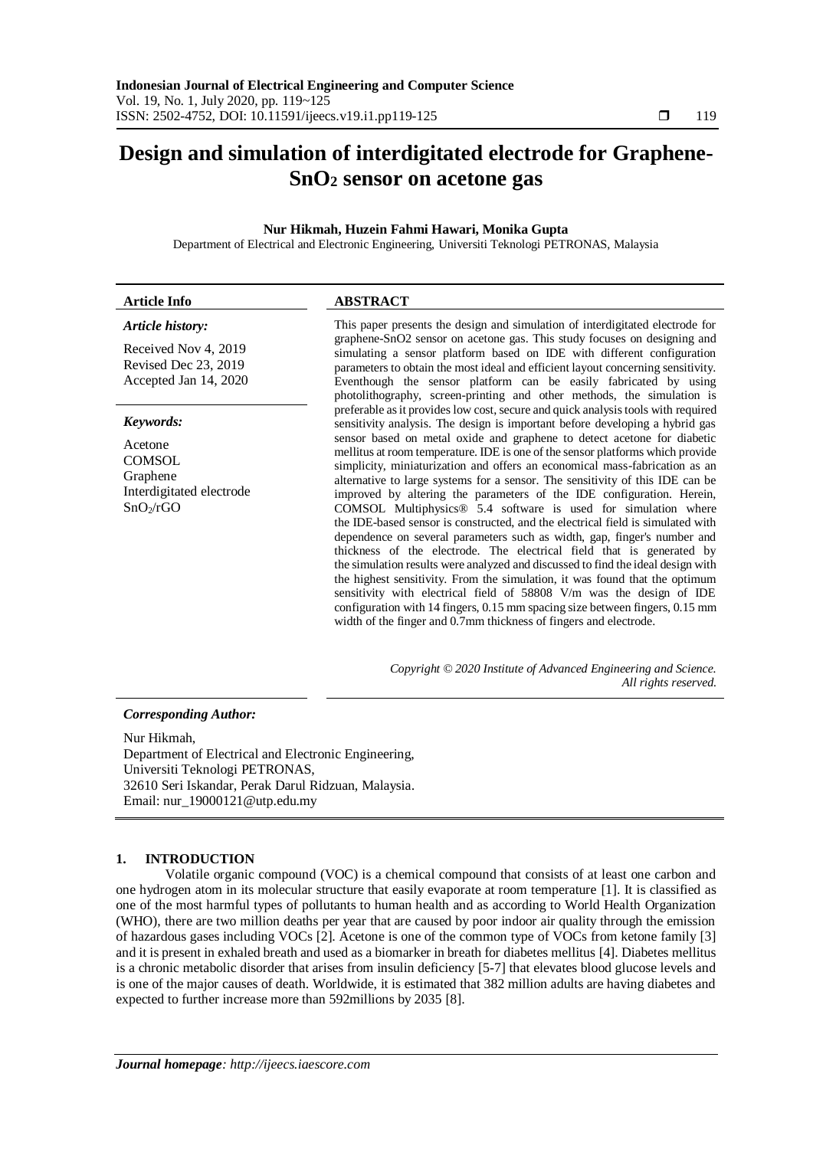# **Design and simulation of interdigitated electrode for Graphene-SnO<sup>2</sup> sensor on acetone gas**

# **Nur Hikmah, Huzein Fahmi Hawari, Monika Gupta**

Department of Electrical and Electronic Engineering, Universiti Teknologi PETRONAS, Malaysia

| <b>Article Info</b>                                                             | <b>ABSTRACT</b>                                                                                                                                                                                                                                                                                                                                                                                                                                                                                                                                                                                                                                                                                                                                                                                                                                                                                                                                                                                                                                                                                                          |
|---------------------------------------------------------------------------------|--------------------------------------------------------------------------------------------------------------------------------------------------------------------------------------------------------------------------------------------------------------------------------------------------------------------------------------------------------------------------------------------------------------------------------------------------------------------------------------------------------------------------------------------------------------------------------------------------------------------------------------------------------------------------------------------------------------------------------------------------------------------------------------------------------------------------------------------------------------------------------------------------------------------------------------------------------------------------------------------------------------------------------------------------------------------------------------------------------------------------|
| <b>Article history:</b>                                                         | This paper presents the design and simulation of interdigitated electrode for                                                                                                                                                                                                                                                                                                                                                                                                                                                                                                                                                                                                                                                                                                                                                                                                                                                                                                                                                                                                                                            |
| Received Nov 4, 2019<br>Revised Dec 23, 2019<br>Accepted Jan 14, 2020           | graphene-SnO2 sensor on acetone gas. This study focuses on designing and<br>simulating a sensor platform based on IDE with different configuration<br>parameters to obtain the most ideal and efficient layout concerning sensitivity.<br>Eventhough the sensor platform can be easily fabricated by using<br>photolithography, screen-printing and other methods, the simulation is                                                                                                                                                                                                                                                                                                                                                                                                                                                                                                                                                                                                                                                                                                                                     |
| Keywords:                                                                       | preferable as it provides low cost, secure and quick analysis tools with required<br>sensitivity analysis. The design is important before developing a hybrid gas                                                                                                                                                                                                                                                                                                                                                                                                                                                                                                                                                                                                                                                                                                                                                                                                                                                                                                                                                        |
| Acetone<br><b>COMSOL</b><br>Graphene<br>Interdigitated electrode<br>$SnO_2/rGO$ | sensor based on metal oxide and graphene to detect acetone for diabetic<br>mellitus at room temperature. IDE is one of the sensor platforms which provide<br>simplicity, miniaturization and offers an economical mass-fabrication as an<br>alternative to large systems for a sensor. The sensitivity of this IDE can be<br>improved by altering the parameters of the IDE configuration. Herein,<br>COMSOL Multiphysics <sup>®</sup> 5.4 software is used for simulation where<br>the IDE-based sensor is constructed, and the electrical field is simulated with<br>dependence on several parameters such as width, gap, finger's number and<br>thickness of the electrode. The electrical field that is generated by<br>the simulation results were analyzed and discussed to find the ideal design with<br>the highest sensitivity. From the simulation, it was found that the optimum<br>sensitivity with electrical field of 58808 V/m was the design of IDE<br>configuration with 14 fingers, 0.15 mm spacing size between fingers, 0.15 mm<br>width of the finger and 0.7mm thickness of fingers and electrode. |

*Copyright © 2020 Institute of Advanced Engineering and Science. All rights reserved.*

#### *Corresponding Author:*

Nur Hikmah, Department of Electrical and Electronic Engineering, Universiti Teknologi PETRONAS, 32610 Seri Iskandar, Perak Darul Ridzuan, Malaysia. Email: nur\_19000121@utp.edu.my

### **1. INTRODUCTION**

Volatile organic compound (VOC) is a chemical compound that consists of at least one carbon and one hydrogen atom in its molecular structure that easily evaporate at room temperature [1]. It is classified as one of the most harmful types of pollutants to human health and as according to World Health Organization (WHO), there are two million deaths per year that are caused by poor indoor air quality through the emission of hazardous gases including VOCs [2]. Acetone is one of the common type of VOCs from ketone family [3] and it is present in exhaled breath and used as a biomarker in breath for diabetes mellitus [4]. Diabetes mellitus is a chronic metabolic disorder that arises from insulin deficiency [5-7] that elevates blood glucose levels and is one of the major causes of death. Worldwide, it is estimated that 382 million adults are having diabetes and expected to further increase more than 592millions by 2035 [8].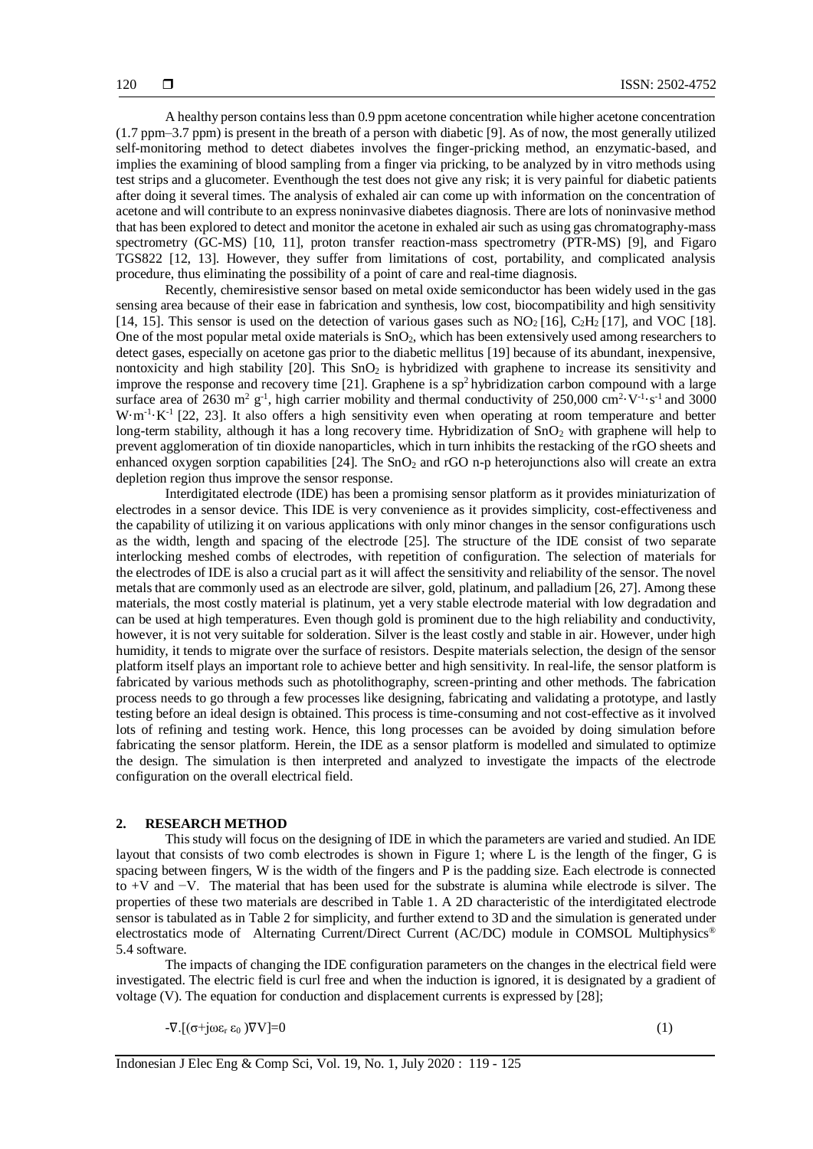A healthy person contains less than 0.9 ppm acetone concentration while higher acetone concentration (1.7 ppm–3.7 ppm) is present in the breath of a person with diabetic [9]. As of now, the most generally utilized self-monitoring method to detect diabetes involves the finger-pricking method, an enzymatic-based, and implies the examining of blood sampling from a finger via pricking, to be analyzed by in vitro methods using test strips and a glucometer. Eventhough the test does not give any risk; it is very painful for diabetic patients after doing it several times. The analysis of exhaled air can come up with information on the concentration of acetone and will contribute to an express noninvasive diabetes diagnosis. There are lots of noninvasive method that has been explored to detect and monitor the acetone in exhaled air such as using gas chromatography-mass spectrometry (GC-MS) [10, 11], proton transfer reaction-mass spectrometry (PTR-MS) [9], and Figaro TGS822 [12, 13]. However, they suffer from limitations of cost, portability, and complicated analysis procedure, thus eliminating the possibility of a point of care and real-time diagnosis.

Recently, chemiresistive sensor based on metal oxide semiconductor has been widely used in the gas sensing area because of their ease in fabrication and synthesis, low cost, biocompatibility and high sensitivity [14, 15]. This sensor is used on the detection of various gases such as  $NO<sub>2</sub>$ [16],  $C<sub>2</sub>H<sub>2</sub>$ [17], and VOC [18]. One of the most popular metal oxide materials is  $SnO<sub>2</sub>$ , which has been extensively used among researchers to detect gases, especially on acetone gas prior to the diabetic mellitus [19] because of its abundant, inexpensive, nontoxicity and high stability [20]. This SnO<sub>2</sub> is hybridized with graphene to increase its sensitivity and improve the response and recovery time [21]. Graphene is a  $sp<sup>2</sup>$  hybridization carbon compound with a large surface area of 2630 m<sup>2</sup> g<sup>-1</sup>, high carrier mobility and thermal conductivity of 250,000 cm<sup>2</sup>·V<sup>-1</sup>·s<sup>-1</sup> and 3000  $W \cdot m^{-1} \cdot K^{-1}$  [22, 23]. It also offers a high sensitivity even when operating at room temperature and better long-term stability, although it has a long recovery time. Hybridization of SnO<sub>2</sub> with graphene will help to prevent agglomeration of tin dioxide nanoparticles, which in turn inhibits the restacking of the rGO sheets and enhanced oxygen sorption capabilities  $[24]$ . The SnO<sub>2</sub> and rGO n-p heterojunctions also will create an extra depletion region thus improve the sensor response.

Interdigitated electrode (IDE) has been a promising sensor platform as it provides miniaturization of electrodes in a sensor device. This IDE is very convenience as it provides simplicity, cost-effectiveness and the capability of utilizing it on various applications with only minor changes in the sensor configurations usch as the width, length and spacing of the electrode [25]. The structure of the IDE consist of two separate interlocking meshed combs of electrodes, with repetition of configuration. The selection of materials for the electrodes of IDE is also a crucial part as it will affect the sensitivity and reliability of the sensor. The novel metals that are commonly used as an electrode are silver, gold, platinum, and palladium [26, 27]. Among these materials, the most costly material is platinum, yet a very stable electrode material with low degradation and can be used at high temperatures. Even though gold is prominent due to the high reliability and conductivity, however, it is not very suitable for solderation. Silver is the least costly and stable in air. However, under high humidity, it tends to migrate over the surface of resistors. Despite materials selection, the design of the sensor platform itself plays an important role to achieve better and high sensitivity. In real-life, the sensor platform is fabricated by various methods such as photolithography, screen-printing and other methods. The fabrication process needs to go through a few processes like designing, fabricating and validating a prototype, and lastly testing before an ideal design is obtained. This process is time-consuming and not cost-effective as it involved lots of refining and testing work. Hence, this long processes can be avoided by doing simulation before fabricating the sensor platform. Herein, the IDE as a sensor platform is modelled and simulated to optimize the design. The simulation is then interpreted and analyzed to investigate the impacts of the electrode configuration on the overall electrical field.

#### **2. RESEARCH METHOD**

This study will focus on the designing of IDE in which the parameters are varied and studied. An IDE layout that consists of two comb electrodes is shown in Figure 1; where L is the length of the finger, G is spacing between fingers, W is the width of the fingers and P is the padding size. Each electrode is connected to +V and −V. The material that has been used for the substrate is alumina while electrode is silver. The properties of these two materials are described in Table 1. A 2D characteristic of the interdigitated electrode sensor is tabulated as in Table 2 for simplicity, and further extend to 3D and the simulation is generated under electrostatics mode of Alternating Current/Direct Current (AC/DC) module in COMSOL Multiphysics® 5.4 software.

The impacts of changing the IDE configuration parameters on the changes in the electrical field were investigated. The electric field is curl free and when the induction is ignored, it is designated by a gradient of voltage (V). The equation for conduction and displacement currents is expressed by [28];

 $-\nabla \cdot [(\sigma + j\omega \varepsilon_r \varepsilon_0) \nabla V] = 0$  (1)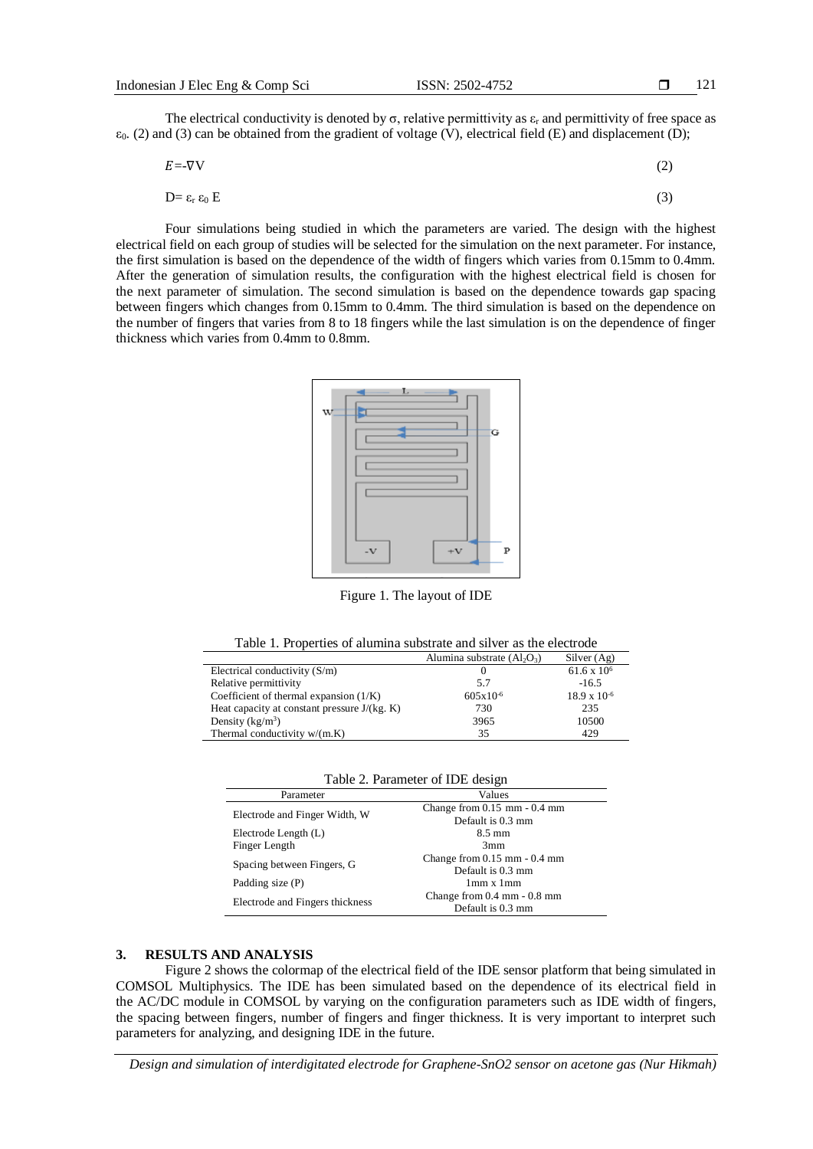The electrical conductivity is denoted by  $\sigma$ , relative permittivity as  $\varepsilon_r$  and permittivity of free space as  $\varepsilon_0$ . (2) and (3) can be obtained from the gradient of voltage (V), electrical field (E) and displacement (D);

$$
E = -\nabla V \tag{2}
$$

$$
D = \varepsilon_{r} \varepsilon_{0} E \tag{3}
$$

Four simulations being studied in which the parameters are varied. The design with the highest electrical field on each group of studies will be selected for the simulation on the next parameter. For instance, the first simulation is based on the dependence of the width of fingers which varies from 0.15mm to 0.4mm. After the generation of simulation results, the configuration with the highest electrical field is chosen for the next parameter of simulation. The second simulation is based on the dependence towards gap spacing between fingers which changes from 0.15mm to 0.4mm. The third simulation is based on the dependence on the number of fingers that varies from 8 to 18 fingers while the last simulation is on the dependence of finger thickness which varies from 0.4mm to 0.8mm.



Figure 1. The layout of IDE

| Table 1. Properties of alumina substrate and silver as the electrode |  |  |  |  |  |
|----------------------------------------------------------------------|--|--|--|--|--|
|----------------------------------------------------------------------|--|--|--|--|--|

|                                                | Alumina substrate $(Al_2O_3)$ | Silver $(Ag)$         |
|------------------------------------------------|-------------------------------|-----------------------|
| Electrical conductivity $(S/m)$                |                               | $61.6 \times 10^{6}$  |
| Relative permittivity                          | 5.7                           | $-16.5$               |
| Coefficient of thermal expansion $(1/K)$       | $605x10^{-6}$                 | $18.9 \times 10^{-6}$ |
| Heat capacity at constant pressure $J/(kg. K)$ | 730                           | 235                   |
| Density $(kg/m^3)$                             | 3965                          | 10500                 |
| Thermal conductivity $w/(m.K)$                 | 35                            | 429                   |

|  | Table 2. Parameter of IDE design |  |  |
|--|----------------------------------|--|--|
|--|----------------------------------|--|--|

| Parameter                       | Values                                        |
|---------------------------------|-----------------------------------------------|
| Electrode and Finger Width, W   | Change from $0.15$ mm $-0.4$ mm               |
|                                 | Default is 0.3 mm                             |
| Electrode Length (L)            | $8.5 \text{ mm}$                              |
| Finger Length                   | 3mm                                           |
| Spacing between Fingers, G      | Change from $0.15$ mm $-0.4$ mm               |
|                                 | Default is 0.3 mm                             |
| Padding size (P)                | $1mm \times 1mm$                              |
| Electrode and Fingers thickness | Change from $0.4 \text{ mm} - 0.8 \text{ mm}$ |
|                                 | Default is 0.3 mm                             |

#### **3. RESULTS AND ANALYSIS**

Figure 2 shows the colormap of the electrical field of the IDE sensor platform that being simulated in COMSOL Multiphysics. The IDE has been simulated based on the dependence of its electrical field in the AC/DC module in COMSOL by varying on the configuration parameters such as IDE width of fingers, the spacing between fingers, number of fingers and finger thickness. It is very important to interpret such parameters for analyzing, and designing IDE in the future.

*Design and simulation of interdigitated electrode for Graphene-SnO2 sensor on acetone gas (Nur Hikmah)*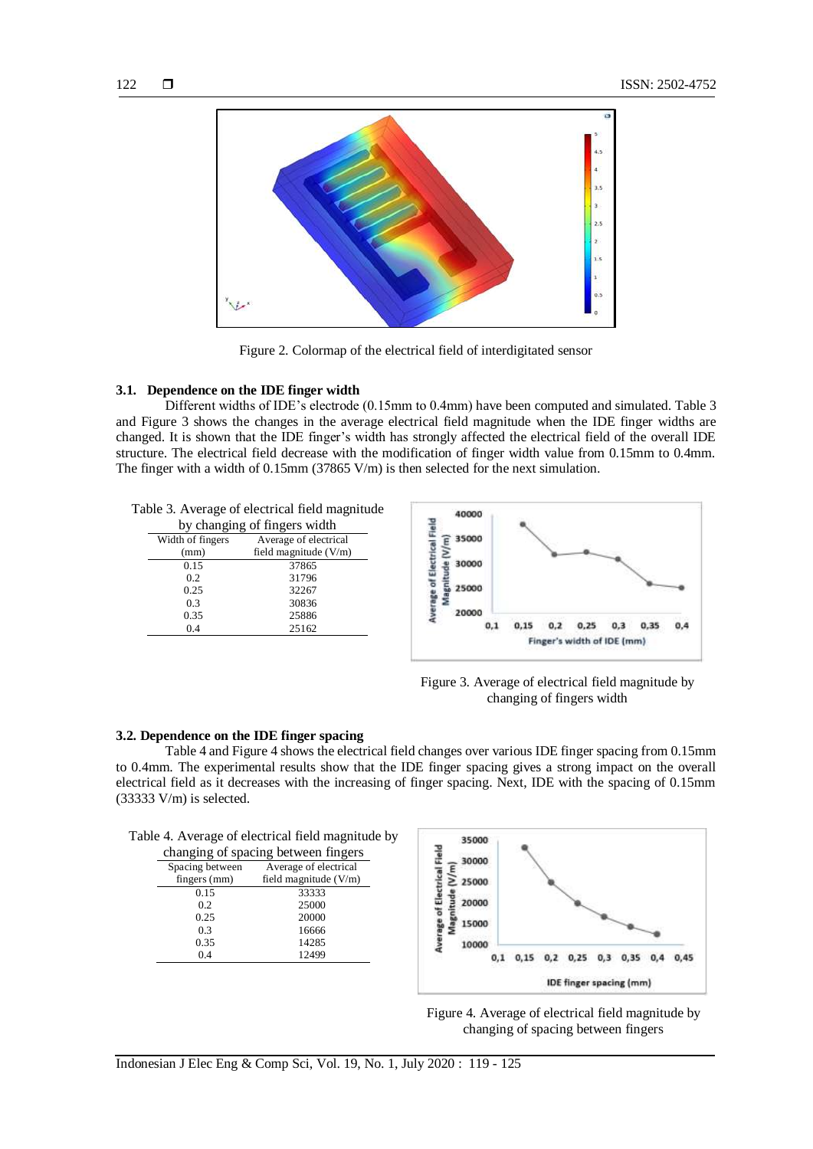

Figure 2. Colormap of the electrical field of interdigitated sensor

## **3.1. Dependence on the IDE finger width**

Different widths of IDE's electrode (0.15mm to 0.4mm) have been computed and simulated. Table 3 and Figure 3 shows the changes in the average electrical field magnitude when the IDE finger widths are changed. It is shown that the IDE finger's width has strongly affected the electrical field of the overall IDE structure. The electrical field decrease with the modification of finger width value from 0.15mm to 0.4mm. The finger with a width of 0.15mm (37865 V/m) is then selected for the next simulation.

|  |  |  | Table 3. Average of electrical field magnitude |
|--|--|--|------------------------------------------------|
|  |  |  |                                                |

| by changing of fingers width |                         |  |
|------------------------------|-------------------------|--|
| Width of fingers             | Average of electrical   |  |
| (mm)                         | field magnitude $(V/m)$ |  |
| 0.15                         | 37865                   |  |
| 0.2                          | 31796                   |  |
| 0.25                         | 32267                   |  |
| 0.3                          | 30836                   |  |
| 0.35                         | 25886                   |  |

0.4 25162



Figure 3. Average of electrical field magnitude by changing of fingers width

#### **3.2. Dependence on the IDE finger spacing**

Table 4 and Figure 4 shows the electrical field changes over various IDE finger spacing from 0.15mm to 0.4mm. The experimental results show that the IDE finger spacing gives a strong impact on the overall electrical field as it decreases with the increasing of finger spacing. Next, IDE with the spacing of 0.15mm (33333 V/m) is selected.

|  | Table 4. Average of electrical field magnitude by |  |  |
|--|---------------------------------------------------|--|--|
|  |                                                   |  |  |

| changing of spacing between fingers |                         |  |
|-------------------------------------|-------------------------|--|
| Spacing between                     | Average of electrical   |  |
| fingers (mm)                        | field magnitude $(V/m)$ |  |
| 0.15                                | 33333                   |  |
| 0.2                                 | 25000                   |  |
| 0.25                                | 20000                   |  |
| 0.3                                 | 16666                   |  |
| 0.35                                | 14285                   |  |
| 0.4                                 | 12499                   |  |



Figure 4. Average of electrical field magnitude by changing of spacing between fingers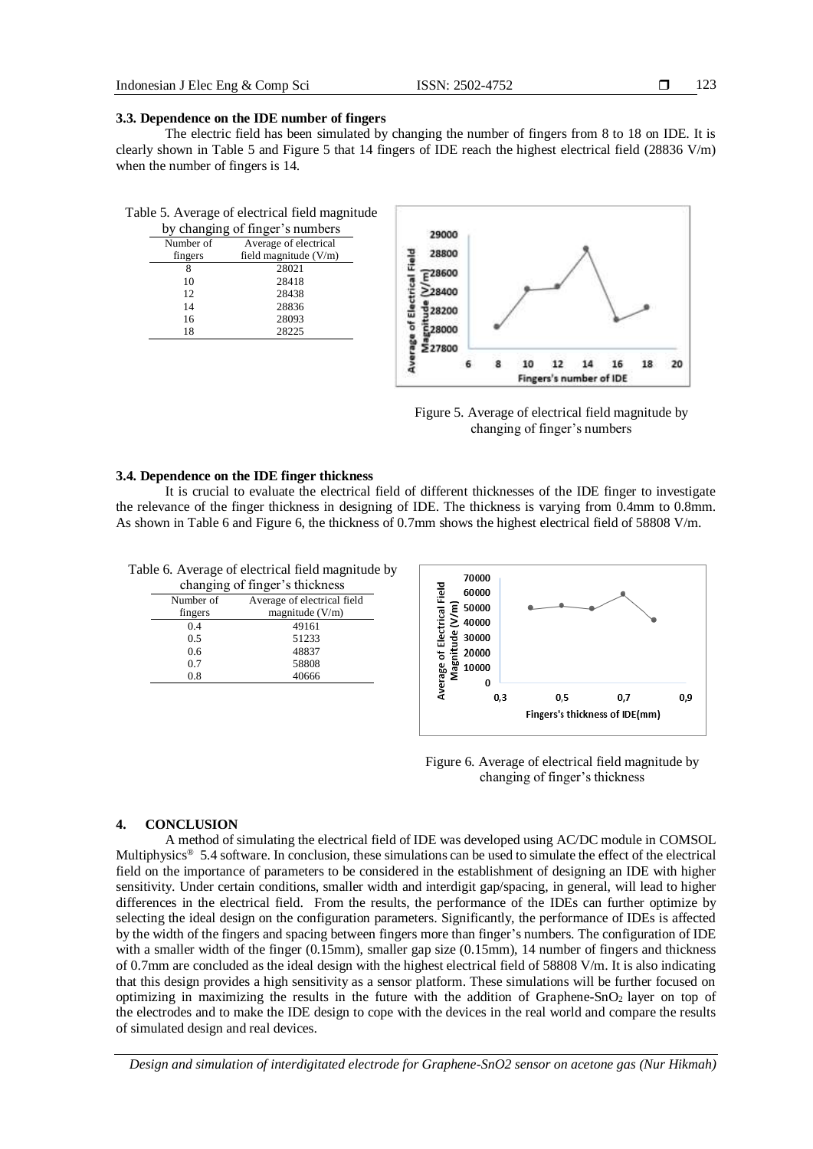123

#### **3.3. Dependence on the IDE number of fingers**

The electric field has been simulated by changing the number of fingers from 8 to 18 on IDE. It is clearly shown in Table 5 and Figure 5 that 14 fingers of IDE reach the highest electrical field (28836 V/m) when the number of fingers is 14.

| Table 5. Average of electrical field magnitude |  |  |
|------------------------------------------------|--|--|
|------------------------------------------------|--|--|

| by changing of finger's numbers |                         |  |
|---------------------------------|-------------------------|--|
| Number of                       | Average of electrical   |  |
| fingers                         | field magnitude $(V/m)$ |  |
| 8                               | 28021                   |  |
| 10                              | 28418                   |  |
| 12                              | 28438                   |  |
| 14                              | 28836                   |  |
| 16                              | 28093                   |  |
| 18                              | 28225                   |  |
|                                 |                         |  |



Figure 5. Average of electrical field magnitude by changing of finger's numbers

# **3.4. Dependence on the IDE finger thickness**

It is crucial to evaluate the electrical field of different thicknesses of the IDE finger to investigate the relevance of the finger thickness in designing of IDE. The thickness is varying from 0.4mm to 0.8mm. As shown in Table 6 and Figure 6, the thickness of 0.7mm shows the highest electrical field of 58808 V/m.

Table 6. Average of electrical field magnitude by

| changing of finger's thickness           |                   |  |
|------------------------------------------|-------------------|--|
| Number of<br>Average of electrical field |                   |  |
| fingers                                  | magnitude $(V/m)$ |  |
| 0 <sub>4</sub>                           | 49161             |  |
| 0.5                                      | 51233             |  |
| 0.6                                      | 48837             |  |
| 0.7                                      | 58808             |  |
| 0.8                                      | 40666             |  |



Figure 6. Average of electrical field magnitude by changing of finger's thickness

#### **4. CONCLUSION**

A method of simulating the electrical field of IDE was developed using AC/DC module in COMSOL Multiphysics<sup>®</sup> 5.4 software. In conclusion, these simulations can be used to simulate the effect of the electrical field on the importance of parameters to be considered in the establishment of designing an IDE with higher sensitivity. Under certain conditions, smaller width and interdigit gap/spacing, in general, will lead to higher differences in the electrical field. From the results, the performance of the IDEs can further optimize by selecting the ideal design on the configuration parameters. Significantly, the performance of IDEs is affected by the width of the fingers and spacing between fingers more than finger's numbers. The configuration of IDE with a smaller width of the finger (0.15mm), smaller gap size (0.15mm), 14 number of fingers and thickness of 0.7mm are concluded as the ideal design with the highest electrical field of 58808 V/m. It is also indicating that this design provides a high sensitivity as a sensor platform. These simulations will be further focused on optimizing in maximizing the results in the future with the addition of Graphene-SnO2 layer on top of the electrodes and to make the IDE design to cope with the devices in the real world and compare the results of simulated design and real devices.

*Design and simulation of interdigitated electrode for Graphene-SnO2 sensor on acetone gas (Nur Hikmah)*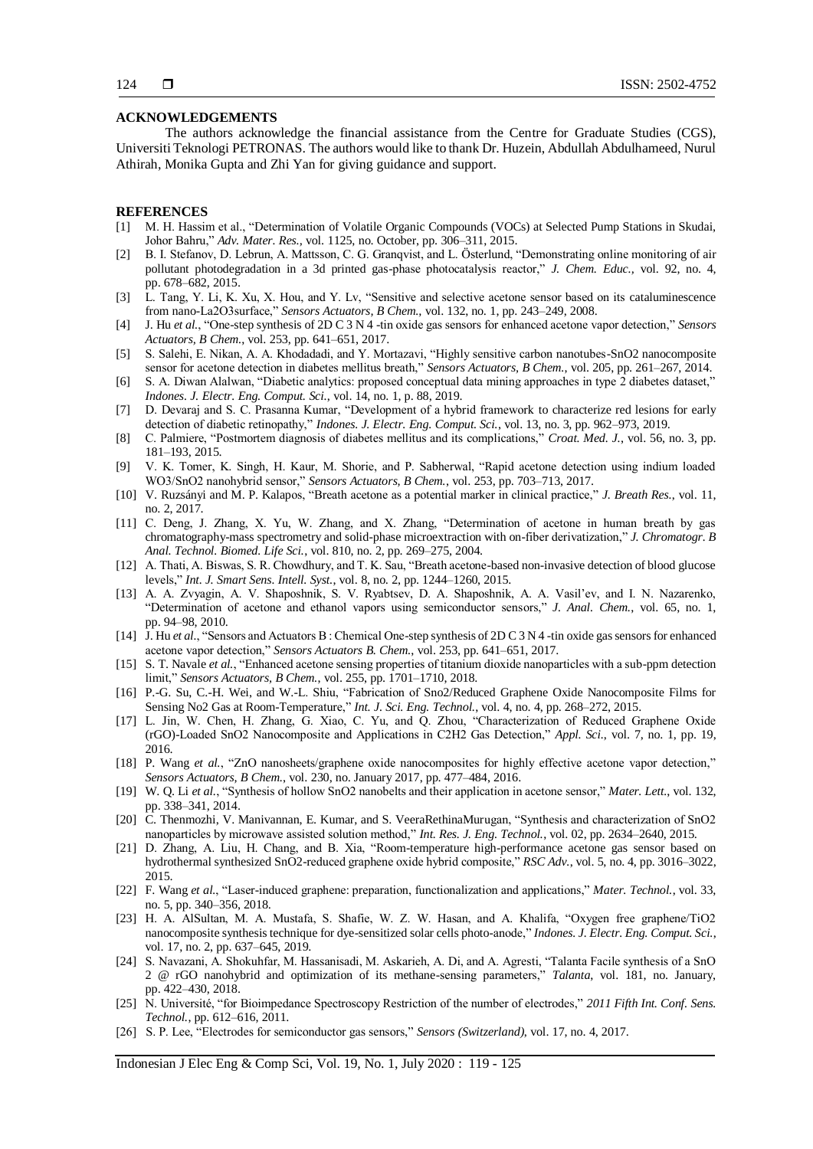#### **ACKNOWLEDGEMENTS**

The authors acknowledge the financial assistance from the Centre for Graduate Studies (CGS), Universiti Teknologi PETRONAS. The authors would like to thank Dr. Huzein, Abdullah Abdulhameed, Nurul Athirah, Monika Gupta and Zhi Yan for giving guidance and support.

#### **REFERENCES**

- [1] M. H. Hassim et al., "Determination of Volatile Organic Compounds (VOCs) at Selected Pump Stations in Skudai, Johor Bahru," *Adv. Mater. Res.,* vol. 1125, no. October, pp. 306–311, 2015.
- [2] B. I. Stefanov, D. Lebrun, A. Mattsson, C. G. Granqvist, and L. Österlund, "Demonstrating online monitoring of air pollutant photodegradation in a 3d printed gas-phase photocatalysis reactor," *J. Chem. Educ.,* vol. 92, no. 4, pp. 678–682, 2015.
- [3] L. Tang, Y. Li, K. Xu, X. Hou, and Y. Lv, "Sensitive and selective acetone sensor based on its cataluminescence from nano-La2O3surface," *Sensors Actuators, B Chem.,* vol. 132, no. 1, pp. 243–249, 2008.
- [4] J. Hu *et al.*, "One-step synthesis of 2D C 3 N 4 -tin oxide gas sensors for enhanced acetone vapor detection," *Sensors Actuators, B Chem.*, vol. 253, pp. 641–651, 2017.
- [5] S. Salehi, E. Nikan, A. A. Khodadadi, and Y. Mortazavi, "Highly sensitive carbon nanotubes-SnO2 nanocomposite sensor for acetone detection in diabetes mellitus breath," *Sensors Actuators, B Chem.*, vol. 205, pp. 261–267, 2014.
- [6] S. A. Diwan Alalwan, "Diabetic analytics: proposed conceptual data mining approaches in type 2 diabetes dataset," *Indones. J. Electr. Eng. Comput. Sci.*, vol. 14, no. 1, p. 88, 2019.
- [7] D. Devaraj and S. C. Prasanna Kumar, "Development of a hybrid framework to characterize red lesions for early detection of diabetic retinopathy," *Indones. J. Electr. Eng. Comput. Sci.*, vol. 13, no. 3, pp. 962–973, 2019.
- [8] C. Palmiere, "Postmortem diagnosis of diabetes mellitus and its complications," *Croat. Med. J.*, vol. 56, no. 3, pp. 181–193, 2015.
- [9] V. K. Tomer, K. Singh, H. Kaur, M. Shorie, and P. Sabherwal, "Rapid acetone detection using indium loaded WO3/SnO2 nanohybrid sensor," *Sensors Actuators, B Chem.*, vol. 253, pp. 703–713, 2017.
- [10] V. Ruzsányi and M. P. Kalapos, "Breath acetone as a potential marker in clinical practice," *J. Breath Res.*, vol. 11, no. 2, 2017.
- [11] C. Deng, J. Zhang, X. Yu, W. Zhang, and X. Zhang, "Determination of acetone in human breath by gas chromatography-mass spectrometry and solid-phase microextraction with on-fiber derivatization," *J. Chromatogr. B Anal. Technol. Biomed. Life Sci.*, vol. 810, no. 2, pp. 269–275, 2004.
- [12] A. Thati, A. Biswas, S. R. Chowdhury, and T. K. Sau, "Breath acetone-based non-invasive detection of blood glucose levels," *Int. J. Smart Sens. Intell. Syst.*, vol. 8, no. 2, pp. 1244–1260, 2015.
- [13] A. A. Zvyagin, A. V. Shaposhnik, S. V. Ryabtsev, D. A. Shaposhnik, A. A. Vasil'ev, and I. N. Nazarenko, "Determination of acetone and ethanol vapors using semiconductor sensors," *J. Anal. Chem.*, vol. 65, no. 1, pp. 94–98, 2010.
- [14] J. Hu *et al.*, "Sensors and Actuators B : Chemical One-step synthesis of 2D C 3 N 4 -tin oxide gas sensors for enhanced acetone vapor detection," *Sensors Actuators B. Chem.*, vol. 253, pp. 641–651, 2017.
- [15] S. T. Navale *et al.*, "Enhanced acetone sensing properties of titanium dioxide nanoparticles with a sub-ppm detection limit," *Sensors Actuators, B Chem.*, vol. 255, pp. 1701–1710, 2018.
- [16] P.-G. Su, C.-H. Wei, and W.-L. Shiu, "Fabrication of Sno2/Reduced Graphene Oxide Nanocomposite Films for Sensing No2 Gas at Room-Temperature," *Int. J. Sci. Eng. Technol.*, vol. 4, no. 4, pp. 268–272, 2015.
- [17] L. Jin, W. Chen, H. Zhang, G. Xiao, C. Yu, and Q. Zhou, "Characterization of Reduced Graphene Oxide (rGO)-Loaded SnO2 Nanocomposite and Applications in C2H2 Gas Detection," *Appl. Sci.*, vol. 7, no. 1, pp. 19, 2016.
- [18] P. Wang *et al.*, "ZnO nanosheets/graphene oxide nanocomposites for highly effective acetone vapor detection," *Sensors Actuators, B Chem.*, vol. 230, no. January 2017, pp. 477–484, 2016.
- [19] W. Q. Li *et al.*, "Synthesis of hollow SnO2 nanobelts and their application in acetone sensor," *Mater. Lett.*, vol. 132, pp. 338–341, 2014.
- [20] C. Thenmozhi, V. Manivannan, E. Kumar, and S. VeeraRethinaMurugan, "Synthesis and characterization of SnO2 nanoparticles by microwave assisted solution method," *Int. Res. J. Eng. Technol.*, vol. 02, pp. 2634–2640, 2015.
- [21] D. Zhang, A. Liu, H. Chang, and B. Xia, "Room-temperature high-performance acetone gas sensor based on hydrothermal synthesized SnO2-reduced graphene oxide hybrid composite," *RSC Adv.*, vol. 5, no. 4, pp. 3016–3022, 2015.
- [22] F. Wang *et al.*, "Laser-induced graphene: preparation, functionalization and applications," *Mater. Technol.*, vol. 33, no. 5, pp. 340–356, 2018.
- [23] H. A. AlSultan, M. A. Mustafa, S. Shafie, W. Z. W. Hasan, and A. Khalifa, "Oxygen free graphene/TiO2 nanocomposite synthesis technique for dye-sensitized solar cells photo-anode," *Indones. J. Electr. Eng. Comput. Sci.*, vol. 17, no. 2, pp. 637–645, 2019.
- [24] S. Navazani, A. Shokuhfar, M. Hassanisadi, M. Askarieh, A. Di, and A. Agresti, "Talanta Facile synthesis of a SnO 2 @ rGO nanohybrid and optimization of its methane-sensing parameters," *Talanta*, vol. 181, no. January, pp. 422–430, 2018.
- [25] N. Université, "for Bioimpedance Spectroscopy Restriction of the number of electrodes," *2011 Fifth Int. Conf. Sens. Technol.*, pp. 612–616, 2011.
- [26] S. P. Lee, "Electrodes for semiconductor gas sensors," *Sensors (Switzerland)*, vol. 17, no. 4, 2017.